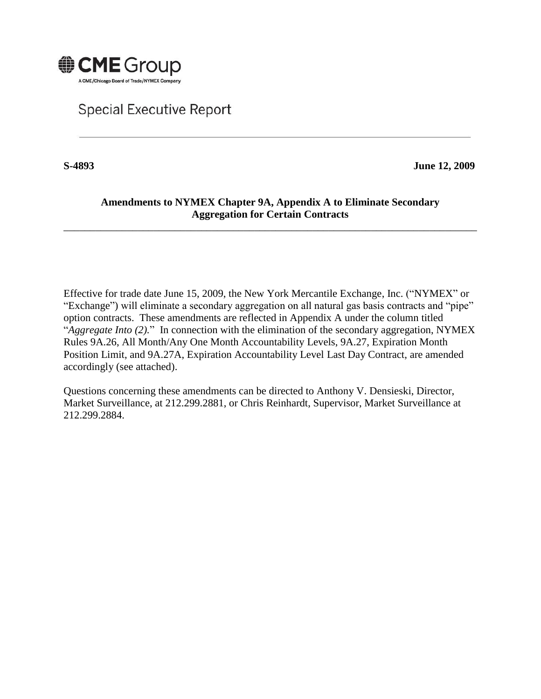

## **Special Executive Report**

**S-4893 June 12, 2009**

## **Amendments to NYMEX Chapter 9A, Appendix A to Eliminate Secondary Aggregation for Certain Contracts**

\_\_\_\_\_\_\_\_\_\_\_\_\_\_\_\_\_\_\_\_\_\_\_\_\_\_\_\_\_\_\_\_\_\_\_\_\_\_\_\_\_\_\_\_\_\_\_\_\_\_\_\_\_\_\_\_\_\_\_\_\_\_\_\_\_\_\_\_\_\_\_\_\_\_\_\_\_\_

Effective for trade date June 15, 2009, the New York Mercantile Exchange, Inc. ("NYMEX" or "Exchange") will eliminate a secondary aggregation on all natural gas basis contracts and "pipe" option contracts. These amendments are reflected in Appendix A under the column titled "*Aggregate Into (2).*" In connection with the elimination of the secondary aggregation, NYMEX Rules 9A.26, All Month/Any One Month Accountability Levels, 9A.27, Expiration Month Position Limit, and 9A.27A, Expiration Accountability Level Last Day Contract, are amended accordingly (see attached).

Questions concerning these amendments can be directed to Anthony V. Densieski, Director, Market Surveillance, at 212.299.2881, or Chris Reinhardt, Supervisor, Market Surveillance at 212.299.2884.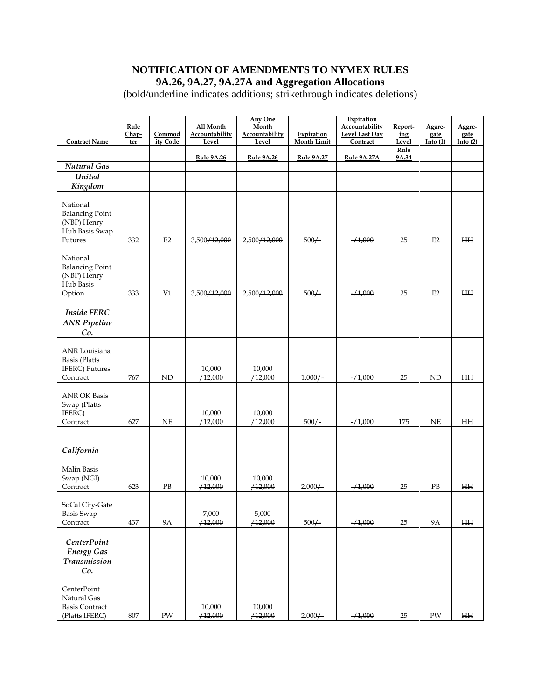## **NOTIFICATION OF AMENDMENTS TO NYMEX RULES 9A.26, 9A.27, 9A.27A and Aggregation Allocations**

(bold/underline indicates additions; strikethrough indicates deletions)

| <b>Contract Name</b>                                                           | Rule<br>Chap-<br>ter | Commod<br>ity Code | All Month<br><b>Accountability</b><br>Level | Any One<br>Month<br>Accountability<br>Level | Expiration<br>Month Limit | Expiration<br>Accountability<br><b>Level Last Day</b><br>Contract | Report-<br>ing<br>Level | Aggre-<br>gate<br>Into(1) | Aggre-<br>gate<br>Into $(2)$ |
|--------------------------------------------------------------------------------|----------------------|--------------------|---------------------------------------------|---------------------------------------------|---------------------------|-------------------------------------------------------------------|-------------------------|---------------------------|------------------------------|
|                                                                                |                      |                    | <b>Rule 9A.26</b>                           | <b>Rule 9A.26</b>                           | Rule 9A.27                | Rule 9A.27A                                                       | Rule<br>9A.34           |                           |                              |
| Natural Gas                                                                    |                      |                    |                                             |                                             |                           |                                                                   |                         |                           |                              |
| <b>United</b>                                                                  |                      |                    |                                             |                                             |                           |                                                                   |                         |                           |                              |
| Kingdom                                                                        |                      |                    |                                             |                                             |                           |                                                                   |                         |                           |                              |
| National<br><b>Balancing Point</b><br>(NBP) Henry<br>Hub Basis Swap<br>Futures | 332                  | E2                 | 3,500/12,000                                | 2,500/12,000                                | $500/-$                   | $-1,000$                                                          | 25                      | E2                        | <b>HH</b>                    |
| National<br><b>Balancing Point</b><br>(NBP) Henry<br>Hub Basis<br>Option       | 333                  | V1                 | 3,500/12,000                                | 2,500/12,000                                | $500/-$                   | $-1,000$                                                          | 25                      | E2                        | <b>HH</b>                    |
| <b>Inside FERC</b>                                                             |                      |                    |                                             |                                             |                           |                                                                   |                         |                           |                              |
| <b>ANR</b> Pipeline                                                            |                      |                    |                                             |                                             |                           |                                                                   |                         |                           |                              |
| Co.                                                                            |                      |                    |                                             |                                             |                           |                                                                   |                         |                           |                              |
| ANR Louisiana<br><b>Basis</b> (Platts<br>IFERC) Futures<br>Contract            | 767                  | ND                 | 10,000<br>/12,000                           | 10,000<br>/12,000                           | $1,000/-$                 | $-1,000$                                                          | 25                      | ND                        | <b>HH</b>                    |
| <b>ANR OK Basis</b><br>Swap (Platts<br>IFERC)<br>Contract                      | 627                  | $\rm NE$           | 10,000<br>/12,000                           | 10,000<br>/12,000                           | $500/-$                   | $-1,000$                                                          | 175                     | NE                        | <b>HH</b>                    |
| California                                                                     |                      |                    |                                             |                                             |                           |                                                                   |                         |                           |                              |
| Malin Basis<br>Swap (NGI)<br>Contract                                          | 623                  | PB                 | 10,000<br>/12,000                           | 10,000<br>/12,000                           | $2,000/-$                 | $-1,000$                                                          | 25                      | $\rm{PB}$                 | <b>HH</b>                    |
| SoCal City-Gate<br><b>Basis Swap</b><br>Contract                               | 437                  | <b>9A</b>          | 7,000<br>/12,000                            | 5,000<br>/12,000                            | $500/-$                   | $-1,000$                                                          | 25                      | <b>9A</b>                 | HН                           |
| <b>CenterPoint</b><br><b>Energy Gas</b><br>Transmission<br>Co.                 |                      |                    |                                             |                                             |                           |                                                                   |                         |                           |                              |
| CenterPoint<br>Natural Gas<br><b>Basis Contract</b><br>(Platts IFERC)          | 807                  | PW                 | 10,000<br>/12,000                           | 10,000<br>/12,000                           | $2,000 \leftarrow$        | $-1,000$                                                          | 25                      | PW                        | HН                           |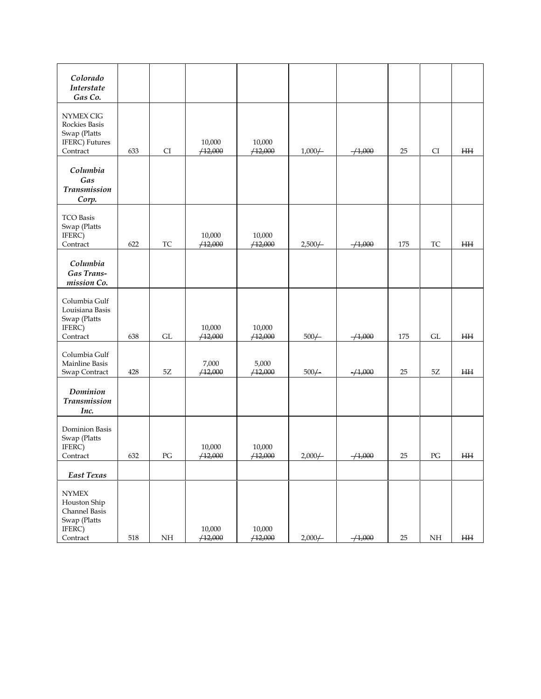| Colorado<br>Interstate<br>Gas Co.                                                   |     |               |                   |                   |           |            |     |               |           |
|-------------------------------------------------------------------------------------|-----|---------------|-------------------|-------------------|-----------|------------|-----|---------------|-----------|
| <b>NYMEX CIG</b><br>Rockies Basis<br>Swap (Platts<br>IFERC) Futures<br>Contract     | 633 | CI            | 10,000<br>/12,000 | 10,000<br>/12,000 | $1,000 +$ | $-1,000$   | 25  | CI            | H H       |
| Columbia<br>Gas<br><b>Transmission</b><br>Corp.                                     |     |               |                   |                   |           |            |     |               |           |
| <b>TCO Basis</b><br>Swap (Platts<br>IFERC)<br>Contract                              | 622 | TC            | 10,000<br>/12,000 | 10,000<br>/12,000 | $2,500/-$ | $-1,000$   | 175 | TC            | <b>HH</b> |
| Columbia<br>Gas Trans-<br>mission Co.                                               |     |               |                   |                   |           |            |     |               |           |
| Columbia Gulf<br>Louisiana Basis<br>Swap (Platts<br>IFERC)<br>Contract              | 638 | GL            | 10,000<br>/12,000 | 10,000<br>/12,000 | $500/-$   | $-1,000$   | 175 | GL            | H H       |
| Columbia Gulf<br>Mainline Basis<br>Swap Contract                                    | 428 | $5\mathrm{Z}$ | 7,000<br>/12,000  | 5,000<br>/12,000  | $500/-$   | $-1,000$   | 25  | $5\mathbf{Z}$ | $H\!H$    |
| Dominion<br><b>Transmission</b><br>Inc.                                             |     |               |                   |                   |           |            |     |               |           |
| Dominion Basis<br>Swap (Platts<br>IFERC)<br>Contract                                | 632 | PG            | 10,000<br>/12,000 | 10,000<br>/12,000 | $2,000/-$ | $-4,000$   | 25  | PG            | ΗH        |
| East Texas                                                                          |     |               |                   |                   |           |            |     |               |           |
| <b>NYMEX</b><br>Houston Ship<br>Channel Basis<br>Swap (Platts<br>IFERC)<br>Contract | 518 | NH            | 10,000<br>/12,000 | 10,000<br>/12,000 | $2,000/-$ | $-/-1,000$ | 25  | NH            | H H       |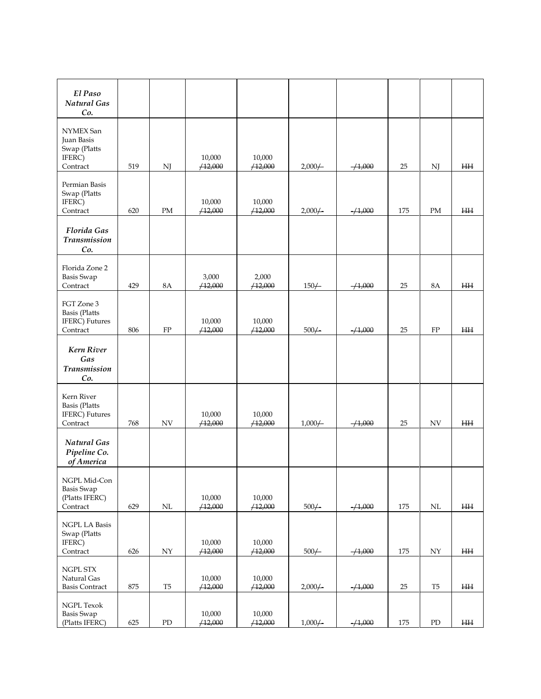| El Paso<br>Natural Gas<br>Co.                                            |     |                          |                   |                   |            |             |     |                |           |
|--------------------------------------------------------------------------|-----|--------------------------|-------------------|-------------------|------------|-------------|-----|----------------|-----------|
| NYMEX San<br>Juan Basis<br>Swap (Platts<br>IFERC)<br>Contract            | 519 | NJ                       | 10,000<br>/12,000 | 10,000<br>/12,000 | $2,000/-$  | $- / 1,000$ | 25  | NJ             | <b>HH</b> |
| Permian Basis<br>Swap (Platts<br>IFERC)<br>Contract                      | 620 | PM                       | 10,000<br>/12,000 | 10,000<br>/12,000 | $2,000/-$  | $-1,000$    | 175 | PM             | <b>HH</b> |
| Florida Gas<br>Transmission<br>Co.                                       |     |                          |                   |                   |            |             |     |                |           |
| Florida Zone 2<br><b>Basis Swap</b><br>Contract                          | 429 | <b>8A</b>                | 3,000<br>/12,000  | 2,000<br>/12,000  | $150\!+\!$ | $-1,000$    | 25  | <b>8A</b>      | <b>HH</b> |
| FGT Zone 3<br><b>Basis</b> (Platts<br><b>IFERC</b> ) Futures<br>Contract | 806 | ${\rm FP}$               | 10,000<br>/12,000 | 10,000<br>/12,000 | $500/-$    | $-1,000$    | 25  | FP             | ΗH        |
| Kern River<br>Gas<br>Transmission<br>Co.                                 |     |                          |                   |                   |            |             |     |                |           |
| Kern River<br><b>Basis</b> (Platts<br>IFERC) Futures<br>Contract         | 768 | $\ensuremath{\text{NV}}$ | 10,000<br>/12,000 | 10,000<br>/12,000 | $1,000/-$  | $-1,000$    | 25  | <b>NV</b>      | H H       |
| <b>Natural Gas</b><br>Pipeline Co.<br>of America                         |     |                          |                   |                   |            |             |     |                |           |
| NGPL Mid-Con<br><b>Basis Swap</b><br>(Platts IFERC)<br>Contract          | 629 | $\mbox{NL}$              | 10,000<br>/12,000 | 10,000<br>/12,000 | $500/-$    | $-1,000$    | 175 | $\rm NL$       | HН        |
| <b>NGPL LA Basis</b><br>Swap (Platts<br>IFERC)<br>Contract               | 626 | $\ensuremath{\text{NY}}$ | 10,000<br>/12,000 | 10,000<br>/12,000 | $500/-$    | $-1,000$    | 175 | ${\rm NY}$     | $\rm HH$  |
| NGPL STX<br>Natural Gas<br><b>Basis Contract</b>                         | 875 | T <sub>5</sub>           | 10,000<br>/12,000 | 10,000<br>/12,000 | $2,000/-$  | $-1,000$    | 25  | T <sub>5</sub> | HН        |
| <b>NGPL Texok</b><br><b>Basis Swap</b><br>(Platts IFERC)                 | 625 | ${\rm PD}$               | 10,000<br>/12,000 | 10,000<br>/12,000 | $1,000 +$  | $+1,000$    | 175 | ${\rm PD}$     | $\rm{HH}$ |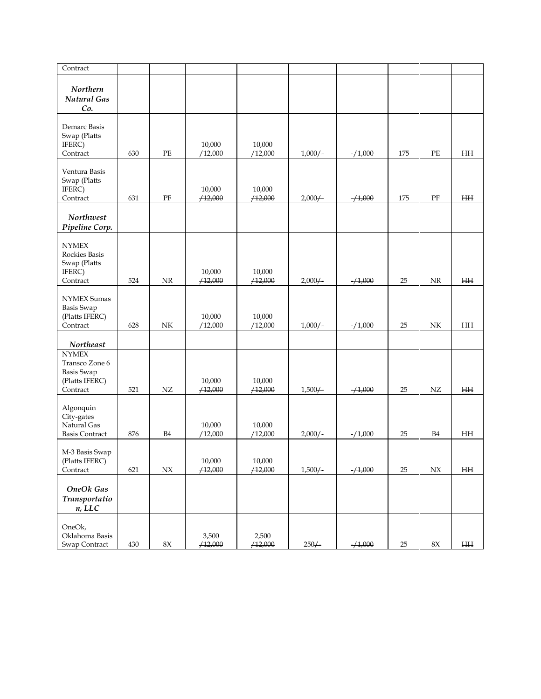| Contract                                                                          |         |                |                   |                   |           |          |        |                |           |
|-----------------------------------------------------------------------------------|---------|----------------|-------------------|-------------------|-----------|----------|--------|----------------|-----------|
| Northern<br><b>Natural Gas</b><br>Co.                                             |         |                |                   |                   |           |          |        |                |           |
| Demarc Basis<br>Swap (Platts<br>IFERC)<br>Contract                                | 630     | PE             | 10,000<br>/12,000 | 10,000<br>/12,000 | $1,000 +$ | $-1,000$ | 175    | PE             | <b>HH</b> |
| Ventura Basis<br>Swap (Platts<br>IFERC)<br>Contract                               | 631     | $\rm PF$       | 10,000<br>/12,000 | 10,000<br>/12,000 | $2,000/-$ | $-1,000$ | 175    | PF             | $H\!H$    |
| <b>Northwest</b><br>Pipeline Corp.                                                |         |                |                   |                   |           |          |        |                |           |
| <b>NYMEX</b><br><b>Rockies Basis</b><br>Swap (Platts<br>IFERC)<br>Contract        | 524     | NR             | 10,000<br>/12,000 | 10,000<br>/12,000 | $2,000/-$ | $-1,000$ | 25     | <b>NR</b>      | ₩         |
| <b>NYMEX Sumas</b><br><b>Basis Swap</b><br>(Platts IFERC)<br>Contract             | 628     | NK             | 10,000<br>/12,000 | 10,000<br>/12,000 | $1,000 +$ | $-1,000$ | 25     | NK.            | H H       |
| <b>Northeast</b>                                                                  |         |                |                   |                   |           |          |        |                |           |
| <b>NYMEX</b><br>Transco Zone 6<br><b>Basis Swap</b><br>(Platts IFERC)<br>Contract | 521     | ${\rm NZ}$     | 10,000<br>/12,000 | 10,000<br>/12,000 | $1,500 +$ | $-1,000$ | 25     | ${\rm NZ}$     | H         |
| Algonquin<br>City-gates<br>Natural Gas<br><b>Basis Contract</b>                   | 876     | B <sub>4</sub> | 10,000<br>/12,000 | 10,000<br>/12,000 | $2,000 +$ | $-1,000$ | 25     | B <sub>4</sub> | ΗH        |
| M-3 Basis Swap<br>(Platts IFERC)<br>Contract                                      | 621     | $N\!X$         | 10,000<br>/12,000 | 10,000<br>/12,000 | 1,500/    | $-1,000$ | 25     | N X            | HН        |
| <b>OneOk Gas</b><br>Transportatio<br>n, LLC                                       |         |                |                   |                   |           |          |        |                |           |
| OneOk,<br>Oklahoma Basis<br>Swap Contract                                         | $430\,$ | $8\mathrm{X}$  | 3,500<br>/12,000  | 2,500<br>/12,000  | $250 +$   | $+1,000$ | $25\,$ | $8\mathrm{X}$  | $\rm HH$  |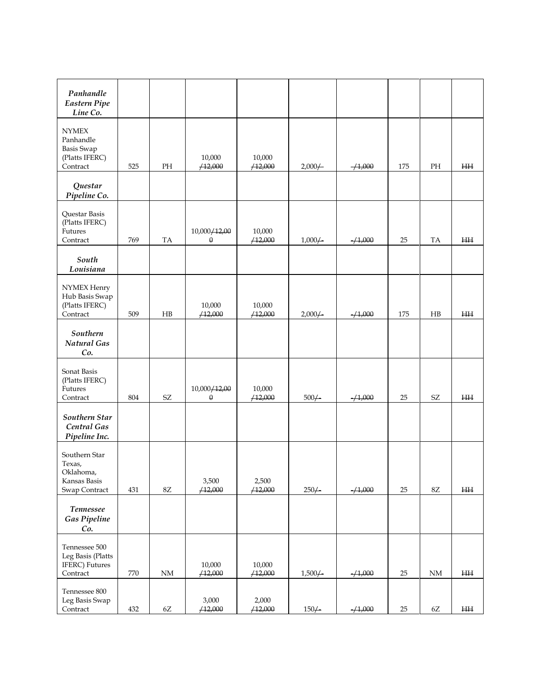| Panhandle<br><b>Eastern Pipe</b>                                             |         |                            |                          |                   |           |          |     |                            |          |
|------------------------------------------------------------------------------|---------|----------------------------|--------------------------|-------------------|-----------|----------|-----|----------------------------|----------|
| Line Co.                                                                     |         |                            |                          |                   |           |          |     |                            |          |
| <b>NYMEX</b><br>Panhandle<br><b>Basis Swap</b><br>(Platts IFERC)<br>Contract | 525     | PH                         | 10,000<br>/12,000        | 10,000<br>/12,000 | $2,000 +$ | $-1,000$ | 175 | PH                         | $\rm HH$ |
| Questar<br>Pipeline Co.                                                      |         |                            |                          |                   |           |          |     |                            |          |
| Questar Basis<br>(Platts IFERC)<br>Futures<br>Contract                       | 769     | TA                         | 10,000/12,00<br>$\theta$ | 10,000<br>/12,000 | $1,000/-$ | $-1,000$ | 25  | TA                         | $\rm HH$ |
| South<br>Louisiana                                                           |         |                            |                          |                   |           |          |     |                            |          |
| NYMEX Henry<br>Hub Basis Swap<br>(Platts IFERC)<br>Contract                  | 509     | HB                         | 10,000<br>/12,000        | 10,000<br>/12,000 | $2,000 +$ | $-1,000$ | 175 | HB                         | $\rm HH$ |
| Southern<br>Natural Gas<br>Co.                                               |         |                            |                          |                   |           |          |     |                            |          |
| Sonat Basis<br>(Platts IFERC)<br>Futures<br>Contract                         | 804     | $\ensuremath{\mathrm{SZ}}$ | 10,000/12,00<br>$\theta$ | 10,000<br>/12,000 | $500/-$   | $-1,000$ | 25  | $\ensuremath{\mathrm{SZ}}$ | $\rm HH$ |
| Southern Star<br>Central Gas<br>Pipeline Inc.                                |         |                            |                          |                   |           |          |     |                            |          |
| Southern Star<br>Texas,<br>Oklahoma,<br>Kansas Basis<br>Swap Contract        | 431     | $8\mathbf{Z}$              | 3,500<br>/12,000         | 2,500<br>/12,000  | $250/-$   | $-1,000$ | 25  | $8\mathsf{Z}$              | $\rm HH$ |
| <b>Tennessee</b><br><b>Gas Pipeline</b><br>Co.                               |         |                            |                          |                   |           |          |     |                            |          |
| Tennessee 500<br>Leg Basis (Platts<br><b>IFERC</b> ) Futures<br>Contract     | $770\,$ | $\rm{NM}$                  | 10,000<br>/12,000        | 10,000<br>/12,000 | 1,500/    | $-4,000$ | 25  | $\rm{NM}$                  | HН       |
| Tennessee 800<br>Leg Basis Swap<br>Contract                                  | 432     | $6\mathrm{Z}$              | 3,000<br>/12,000         | 2,000<br>/12,000  | $150/-$   | $-1,000$ | 25  | $6\mathsf{Z}$              | $\rm HH$ |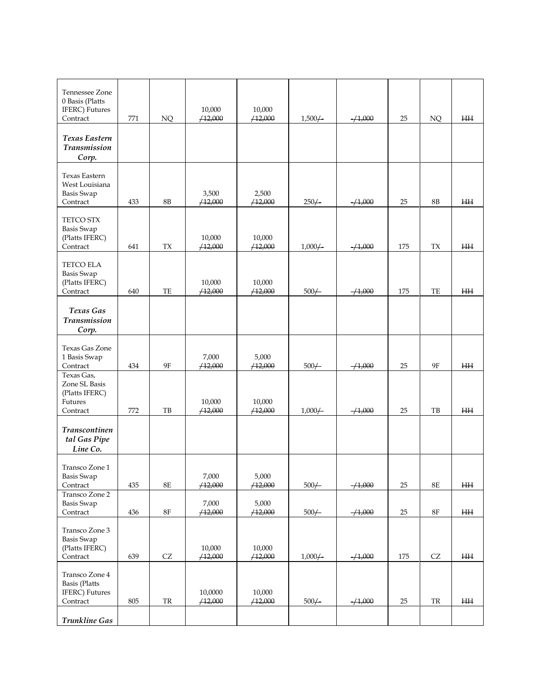| Tennessee Zone<br>0 Basis (Platts<br>IFERC) Futures<br>Contract              | 771     | NQ                | 10,000<br>/12,000  | 10,000<br>/12,000 | $1,500/-$ | $-1,000$ | 25     | NQ                  | ΗH        |
|------------------------------------------------------------------------------|---------|-------------------|--------------------|-------------------|-----------|----------|--------|---------------------|-----------|
| Texas Eastern<br><b>Transmission</b><br>Corp.                                |         |                   |                    |                   |           |          |        |                     |           |
| <b>Texas Eastern</b><br>West Louisiana<br>Basis Swap<br>Contract             | 433     | 8B                | 3,500<br>/12,000   | 2,500<br>/12,000  | $250/-$   | $-1,000$ | 25     | 8B                  | ₩         |
| <b>TETCO STX</b><br>Basis Swap<br>(Platts IFERC)<br>Contract                 | 641     | ${\rm T} {\rm X}$ | 10,000<br>/12,000  | 10,000<br>/12,000 | $1,000 +$ | $-1,000$ | 175    | ${\rm T} {\rm X}$   | $H\!H$    |
| TETCO ELA<br><b>Basis Swap</b><br>(Platts IFERC)<br>Contract                 | 640     | TE                | 10,000<br>/12,000  | 10,000<br>/12,000 | $500/-$   | $-1,000$ | 175    | TE                  | $H\!H$    |
| Texas Gas<br><b>Transmission</b><br>Corp.                                    |         |                   |                    |                   |           |          |        |                     |           |
| Texas Gas Zone<br>1 Basis Swap<br>Contract                                   | 434     | 9F                | 7,000<br>/12,000   | 5,000<br>/12,000  | $500/-$   | $-1,000$ | 25     | 9Ε                  | ΗH        |
| Texas Gas,<br>Zone SL Basis<br>(Platts IFERC)<br>Futures<br>Contract         | 772     | TB                | 10,000<br>/12,000  | 10,000<br>/12,000 | $1,000 +$ | $-1,000$ | 25     | TB                  | $\rm HH$  |
| Transcontinen<br>tal Gas Pipe<br>Line Co.                                    |         |                   |                    |                   |           |          |        |                     |           |
| Transco Zone 1<br>Basis Swap<br>Contract                                     | 435     | $8\mathrm{E}$     | 7,000<br>/12,000   | 5,000<br>/12,000  | $500/-$   | $-1,000$ | 25     | $8\mathrm{E}$       | $\rm HH$  |
| Transco Zone 2<br><b>Basis Swap</b><br>Contract                              | 436     | $8\mathrm{F}$     | 7,000<br>/12,000   | 5,000<br>/12,000  | $500/-$   | $+1,000$ | 25     | $8\mathrm{F}$       | $\rm{HH}$ |
| Transco Zone 3<br><b>Basis Swap</b><br>(Platts IFERC)<br>Contract            | 639     | ${\rm CZ}$        | 10,000<br>/12,000  | 10,000<br>/12,000 | $1,000/-$ | $-4,000$ | 175    | $\operatorname{CZ}$ | HН        |
| Transco Zone 4<br><b>Basis</b> (Platts<br><b>IFERC</b> ) Futures<br>Contract | $805\,$ | ${\rm TR}$        | 10,0000<br>/12,000 | 10,000<br>/12,000 | $500/-$   | $-1,000$ | $25\,$ | ${\rm TR}$          | $\rm{HH}$ |
| <b>Trunkline Gas</b>                                                         |         |                   |                    |                   |           |          |        |                     |           |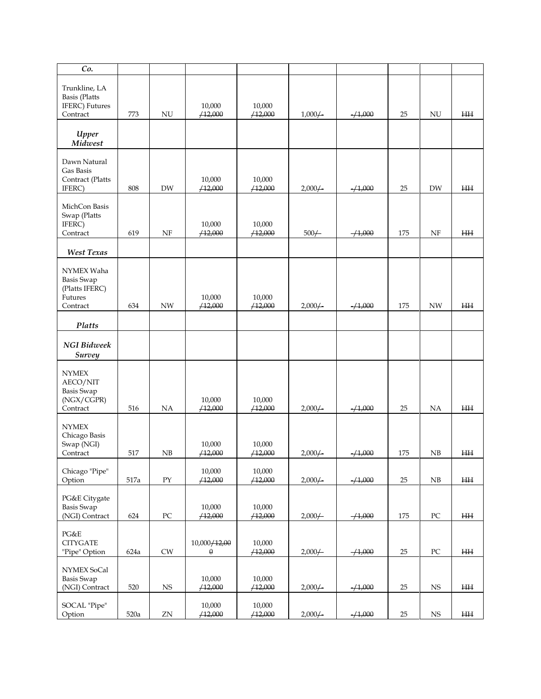| Co.                                 |                 |                    |              |         |                    |             |        |                  |              |
|-------------------------------------|-----------------|--------------------|--------------|---------|--------------------|-------------|--------|------------------|--------------|
|                                     |                 |                    |              |         |                    |             |        |                  |              |
| Trunkline, LA                       |                 |                    |              |         |                    |             |        |                  |              |
| <b>Basis</b> (Platts                |                 |                    |              |         |                    |             |        |                  |              |
| IFERC) Futures                      |                 |                    | 10,000       | 10,000  |                    |             |        |                  |              |
| Contract                            | 773             | <b>NU</b>          | /12,000      | /12,000 | $1,000/-$          | $-1,000$    | 25     | NU               | $H\!H$       |
|                                     |                 |                    |              |         |                    |             |        |                  |              |
| Upper<br>Midwest                    |                 |                    |              |         |                    |             |        |                  |              |
|                                     |                 |                    |              |         |                    |             |        |                  |              |
| Dawn Natural                        |                 |                    |              |         |                    |             |        |                  |              |
| Gas Basis                           |                 |                    |              |         |                    |             |        |                  |              |
| Contract (Platts                    |                 |                    | 10,000       | 10,000  |                    |             |        |                  |              |
| IFERC)                              | 808             | <b>DW</b>          | /12,000      | /12,000 | $2,000 +$          | $- / 1,000$ | 25     | DW               | <b>HH</b>    |
|                                     |                 |                    |              |         |                    |             |        |                  |              |
| MichCon Basis<br>Swap (Platts       |                 |                    |              |         |                    |             |        |                  |              |
| IFERC)                              |                 |                    | 10,000       | 10,000  |                    |             |        |                  |              |
| Contract                            | 619             | <b>NF</b>          | /12,000      | /12,000 | $500/-$            | $-1,000$    | 175    | NF               | $H\!H$       |
|                                     |                 |                    |              |         |                    |             |        |                  |              |
| West Texas                          |                 |                    |              |         |                    |             |        |                  |              |
|                                     |                 |                    |              |         |                    |             |        |                  |              |
| NYMEX Waha                          |                 |                    |              |         |                    |             |        |                  |              |
| <b>Basis Swap</b>                   |                 |                    |              |         |                    |             |        |                  |              |
| (Platts IFERC)                      |                 |                    |              |         |                    |             |        |                  |              |
| Futures                             |                 |                    | 10,000       | 10,000  |                    |             |        |                  |              |
| Contract                            | 634             | <b>NW</b>          | /12,000      | /12,000 | $2,000 \leftarrow$ | $-1,000$    | 175    | <b>NW</b>        | <b>HH</b>    |
|                                     |                 |                    |              |         |                    |             |        |                  |              |
| Platts                              |                 |                    |              |         |                    |             |        |                  |              |
| <b>NGI</b> Bidweek<br><b>Survey</b> |                 |                    |              |         |                    |             |        |                  |              |
|                                     |                 |                    |              |         |                    |             |        |                  |              |
| <b>NYMEX</b>                        |                 |                    |              |         |                    |             |        |                  |              |
| AECO/NIT                            |                 |                    |              |         |                    |             |        |                  |              |
| <b>Basis Swap</b>                   |                 |                    |              |         |                    |             |        |                  |              |
| (NGX/CGPR)                          |                 |                    | 10,000       | 10,000  |                    |             |        |                  |              |
| Contract                            | 516             | <b>NA</b>          | /12,000      | /12,000 | $2,000 +$          | $-1,000$    | 25     | NA               | H H          |
| <b>NYMEX</b>                        |                 |                    |              |         |                    |             |        |                  |              |
| Chicago Basis                       |                 |                    |              |         |                    |             |        |                  |              |
| Swap (NGI)                          |                 |                    | 10,000       | 10,000  |                    |             |        |                  |              |
| Contract                            | 517             | NB                 | /12,000      | /12,000 | $2,000 +$          | $-1,000$    | 175    | NB               | <b>HH</b>    |
|                                     |                 |                    |              |         |                    |             |        |                  |              |
| Chicago "Pipe"                      |                 |                    | 10,000       | 10,000  |                    |             |        |                  |              |
| Option                              | $517\mathrm{a}$ | ${\rm PY}$         | /12,000      | /12,000 | $2,000/-$          | $-1,000$    | 25     | NB               | $\rm{HH}$    |
|                                     |                 |                    |              |         |                    |             |        |                  |              |
| PG&E Citygate                       |                 |                    |              |         |                    |             |        |                  |              |
| <b>Basis Swap</b>                   |                 | ${\rm P}{\bf C}$   | 10,000       | 10,000  |                    |             |        | ${\rm P}{\bf C}$ | $\rm H\rm H$ |
| (NGI) Contract                      | 624             |                    | /12,000      | /12,000 | $2,000 +$          | $-/-1,000$  | 175    |                  |              |
| PG&E                                |                 |                    |              |         |                    |             |        |                  |              |
| <b>CITYGATE</b>                     |                 |                    | 10,000/12,00 | 10,000  |                    |             |        |                  |              |
| "Pipe" Option                       | 624a            | ${\mathrm \sf CW}$ | $\theta$     | /12,000 | $2,000/-$          | $-1,000$    | 25     | ${\rm P}{\bf C}$ | HН           |
|                                     |                 |                    |              |         |                    |             |        |                  |              |
| NYMEX SoCal                         |                 |                    |              |         |                    |             |        |                  |              |
| <b>Basis Swap</b>                   |                 |                    | 10,000       | 10,000  |                    |             |        |                  |              |
| (NGI) Contract                      | 520             | $_{\rm NS}$        | /12,000      | /12,000 | $2,000/-$          | $-1,000$    | $25\,$ | <b>NS</b>        | HН           |
|                                     |                 |                    |              |         |                    |             |        |                  |              |
| SOCAL "Pipe"                        |                 |                    | 10,000       | 10,000  |                    |             |        |                  |              |
| Option                              | 520a            | ${\rm ZN}$         | /12,000      | /12,000 | $2,000 +$          | $-1,000$    | $25\,$ | $_{\rm NS}$      | ΗH           |